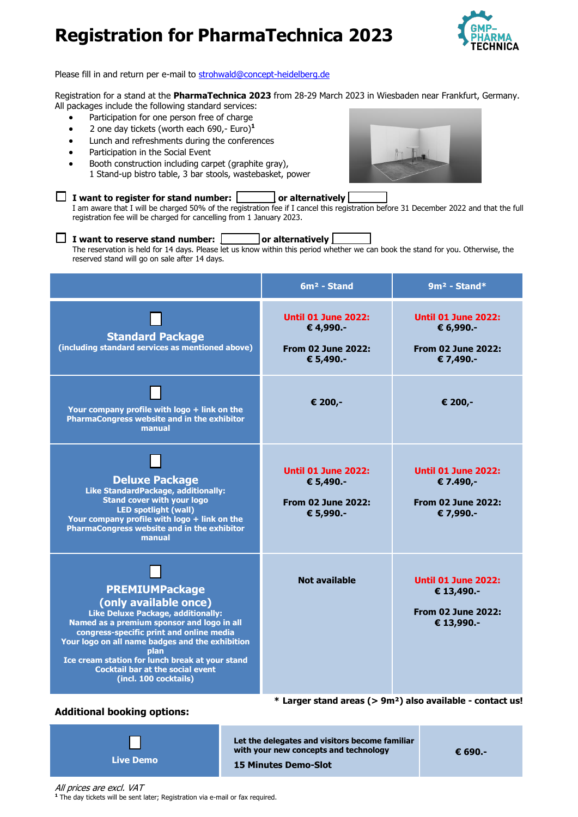

Please fill in and return per e-mail to [strohwald@concept-heidelberg.de](mailto:strohwald@concept-heidelberg.de)

Registration for a stand at the **PharmaTechnica 2023** from 28-29 March 2023 in Wiesbaden near Frankfurt, Germany. All packages include the following standard services:

- Participation for one person free of charge
- 2 one day tickets (worth each 690,- Euro)**<sup>1</sup>**
- Lunch and refreshments during the conferences
- Participation in the Social Event
- Booth construction including carpet (graphite gray), 1 Stand-up bistro table, 3 bar stools, wastebasket, power



 $\Box$  I want to register for stand number:  $\Box$  or alternatively I am aware that I will be charged 50% of the registration fee if I cancel this registration before 31 December 2022 and that the full registration fee will be charged for cancelling from 1 January 2023.

#### **I** want to reserve stand number:  $\Box$  or alternatively

The reservation is held for 14 days. Please let us know within this period whether we can book the stand for you. Otherwise, the reserved stand will go on sale after 14 days.

|                                                                                                                                                                                                                                                                                                                                                                  | $6m2$ - Stand                                                                     | $9m^2$ - Stand*                                                                     |
|------------------------------------------------------------------------------------------------------------------------------------------------------------------------------------------------------------------------------------------------------------------------------------------------------------------------------------------------------------------|-----------------------------------------------------------------------------------|-------------------------------------------------------------------------------------|
| <b>Standard Package</b><br>(including standard services as mentioned above)                                                                                                                                                                                                                                                                                      | <b>Until 01 June 2022:</b><br>€ 4,990.-<br><b>From 02 June 2022:</b><br>€ 5,490.- | <b>Until 01 June 2022:</b><br>€ 6,990.-<br><b>From 02 June 2022:</b><br>€ 7,490.-   |
| Your company profile with logo + link on the<br>PharmaCongress website and in the exhibitor<br>manual                                                                                                                                                                                                                                                            | € 200,-                                                                           | € 200,-                                                                             |
| <b>Deluxe Package</b><br>Like StandardPackage, additionally:<br><b>Stand cover with your logo</b><br><b>LED spotlight (wall)</b><br>Your company profile with logo + link on the<br><b>PharmaCongress website and in the exhibitor</b><br>manual                                                                                                                 | <b>Until 01 June 2022:</b><br>€ 5,490.-<br><b>From 02 June 2022:</b><br>€ 5,990.- | <b>Until 01 June 2022:</b><br>€ 7.490,-<br><b>From 02 June 2022:</b><br>€ 7,990.-   |
| <b>PREMIUMPackage</b><br>(only available once)<br>Like Deluxe Package, additionally:<br>Named as a premium sponsor and logo in all<br>congress-specific print and online media<br>Your logo on all name badges and the exhibition<br>plan<br>Ice cream station for lunch break at your stand<br><b>Cocktail bar at the social event</b><br>(incl. 100 cocktails) | <b>Not available</b>                                                              | <b>Until 01 June 2022:</b><br>€ 13,490.-<br><b>From 02 June 2022:</b><br>€ 13,990.- |

#### **Additional booking options:**



**\* Larger stand areas (> 9m²) also available - contact us!**

**Let the delegates and visitors become familiar with your new concepts and technology 15 Minutes Demo-Slot**

**€ 690.-**

All prices are excl. VAT **1** The day tickets will be sent later; Registration via e-mail or fax required.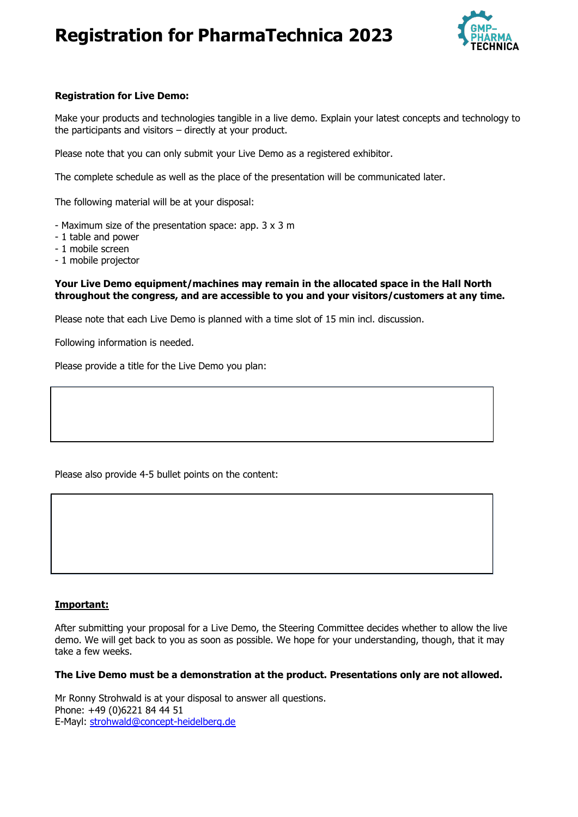

## **Registration for Live Demo:**

Make your products and technologies tangible in a live demo. Explain your latest concepts and technology to the participants and visitors – directly at your product.

Please note that you can only submit your Live Demo as a registered exhibitor.

The complete schedule as well as the place of the presentation will be communicated later.

The following material will be at your disposal:

- Maximum size of the presentation space: app. 3 x 3 m
- 1 table and power
- 1 mobile screen
- 1 mobile projector

### **Your Live Demo equipment/machines may remain in the allocated space in the Hall North throughout the congress, and are accessible to you and your visitors/customers at any time.**

Please note that each Live Demo is planned with a time slot of 15 min incl. discussion.

Following information is needed.

Please provide a title for the Live Demo you plan:

Please also provide 4-5 bullet points on the content:

### **Important:**

After submitting your proposal for a Live Demo, the Steering Committee decides whether to allow the live demo. We will get back to you as soon as possible. We hope for your understanding, though, that it may take a few weeks.

### **The Live Demo must be a demonstration at the product. Presentations only are not allowed.**

Mr Ronny Strohwald is at your disposal to answer all questions. Phone: +49 (0)6221 84 44 51 E-Mayl: [strohwald@concept-heidelberg.de](mailto:strohwald@concept-heidelberg.de)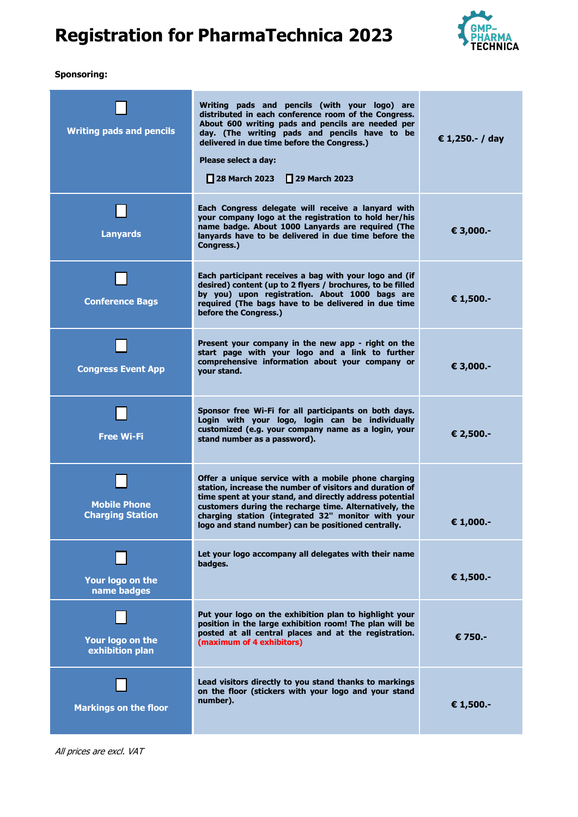

### **Sponsoring:**

| <b>Writing pads and pencils</b>                | Writing pads and pencils (with your logo) are<br>distributed in each conference room of the Congress.<br>About 600 writing pads and pencils are needed per<br>day. (The writing pads and pencils have to be<br>delivered in due time before the Congress.)<br>Please select a day:<br>□ 29 March 2023<br>     28 March 2023                        | € 1,250 .- / day |
|------------------------------------------------|----------------------------------------------------------------------------------------------------------------------------------------------------------------------------------------------------------------------------------------------------------------------------------------------------------------------------------------------------|------------------|
| <b>Lanyards</b>                                | Each Congress delegate will receive a lanyard with<br>your company logo at the registration to hold her/his<br>name badge, About 1000 Lanvards are required (The<br>lanyards have to be delivered in due time before the<br>Congress.)                                                                                                             | € 3,000.-        |
| <b>Conference Bags</b>                         | Each participant receives a bag with your logo and (if<br>desired) content (up to 2 flyers / brochures, to be filled<br>by you) upon registration. About 1000 bags are<br>required (The bags have to be delivered in due time<br>before the Congress.)                                                                                             | € 1,500.-        |
| <b>Congress Event App</b>                      | Present your company in the new app - right on the<br>start page with your logo and a link to further<br>comprehensive information about your company or<br>your stand.                                                                                                                                                                            | € 3,000.-        |
| <b>Free Wi-Fi</b>                              | Sponsor free Wi-Fi for all participants on both days.<br>Login with your logo, login can be individually<br>customized (e.g. your company name as a login, your<br>stand number as a password).                                                                                                                                                    | € 2,500.-        |
| <b>Mobile Phone</b><br><b>Charging Station</b> | Offer a unique service with a mobile phone charging<br>station, increase the number of visitors and duration of<br>time spent at your stand, and directly address potential<br>customers during the recharge time. Alternatively, the<br>charging station (integrated 32" monitor with your<br>logo and stand number) can be positioned centrally. | € 1,000.-        |
| Your logo on the<br>name badges                | Let your logo accompany all delegates with their name<br>badges.                                                                                                                                                                                                                                                                                   | € 1,500.-        |
| Your logo on the<br>exhibition plan            | Put your logo on the exhibition plan to highlight your<br>position in the large exhibition room! The plan will be<br>posted at all central places and at the registration.<br>(maximum of 4 exhibitors)                                                                                                                                            | € 750.-          |
| <b>Markings on the floor</b>                   | Lead visitors directly to you stand thanks to markings<br>on the floor (stickers with your logo and your stand<br>number).                                                                                                                                                                                                                         | € 1,500.-        |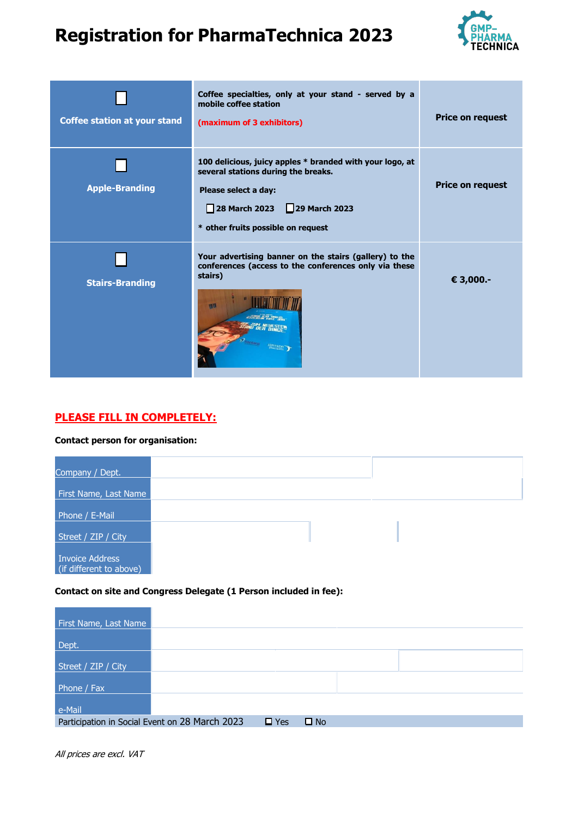

| <b>Coffee station at your stand</b> | Coffee specialties, only at your stand - served by a<br>mobile coffee station<br>(maximum of 3 exhibitors)                                                                                   | Price on request |
|-------------------------------------|----------------------------------------------------------------------------------------------------------------------------------------------------------------------------------------------|------------------|
| <b>Apple-Branding</b>               | 100 delicious, juicy apples * branded with your logo, at<br>several stations during the breaks.<br>Please select a day:<br>28 March 2023 29 March 2023<br>* other fruits possible on request | Price on request |
| <b>Stairs-Branding</b>              | Your advertising banner on the stairs (gallery) to the<br>conferences (access to the conferences only via these<br>stairs)<br>图图                                                             | € 3,000.-        |

# **PLEASE FILL IN COMPLETELY:**

#### **Contact person for organisation:**

| Company / Dept.                                   |  |
|---------------------------------------------------|--|
| First Name, Last Name                             |  |
| Phone / E-Mail                                    |  |
| Street / ZIP / City                               |  |
| <b>Invoice Address</b><br>(if different to above) |  |

### **Contact on site and Congress Delegate (1 Person included in fee):**

| First Name, Last Name                          |            |              |  |  |
|------------------------------------------------|------------|--------------|--|--|
| Dept.                                          |            |              |  |  |
| Street / ZIP / City                            |            |              |  |  |
| Phone / Fax                                    |            |              |  |  |
| e-Mail                                         |            |              |  |  |
| Participation in Social Event on 28 March 2023 | $\Box$ Yes | $\square$ No |  |  |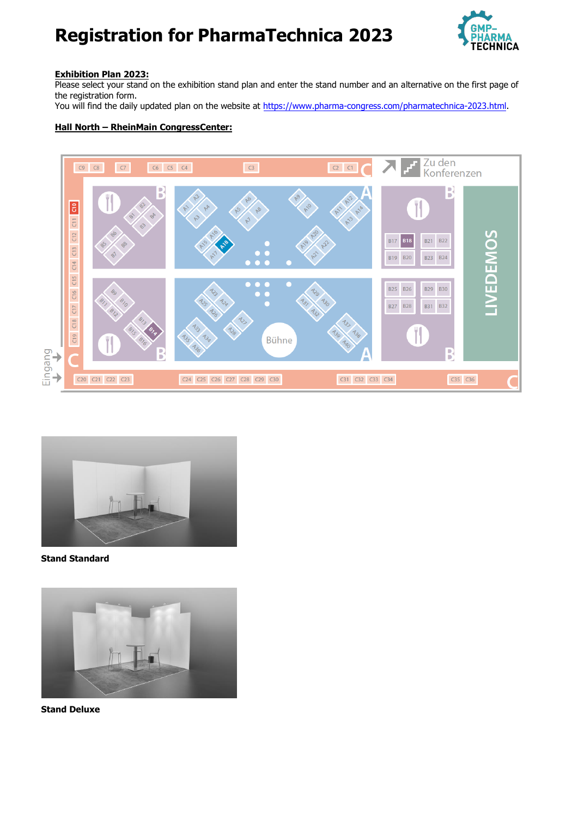

### **Exhibition Plan 2023:**

Please select your stand on the exhibition stand plan and enter the stand number and an alternative on the first page of the registration form.

You will find the daily updated plan on the website at <https://www.pharma-congress.com/pharmatechnica-2023.html>.

### **Hall North – RheinMain CongressCenter:**





**Stand Standard** 



**Stand Deluxe**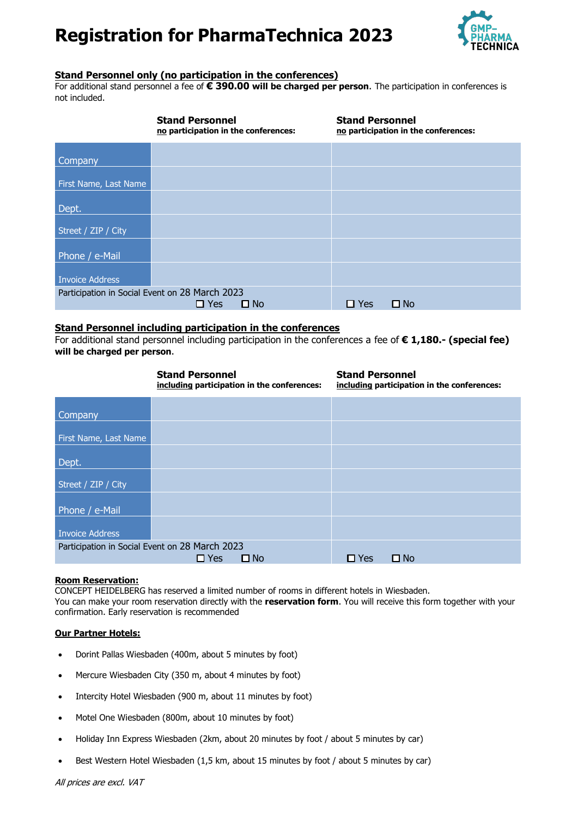

### **Stand Personnel only (no participation in the conferences)**

For additional stand personnel a fee of **€ 390.00 will be charged per person**. The participation in conferences is not included.

|                                                | <b>Stand Personnel</b><br>no participation in the conferences: |              | <b>Stand Personnel</b> | no participation in the conferences: |
|------------------------------------------------|----------------------------------------------------------------|--------------|------------------------|--------------------------------------|
| <b>Company</b>                                 |                                                                |              |                        |                                      |
| First Name, Last Name                          |                                                                |              |                        |                                      |
| Dept.                                          |                                                                |              |                        |                                      |
| Street / ZIP / City                            |                                                                |              |                        |                                      |
| Phone / e-Mail                                 |                                                                |              |                        |                                      |
| <b>Invoice Address</b>                         |                                                                |              |                        |                                      |
| Participation in Social Event on 28 March 2023 | $\Box$ Yes                                                     | $\square$ No | $\Box$ Yes             | $\square$ No                         |

### **Stand Personnel including participation in the conferences**

For additional stand personnel including participation in the conferences a fee of **€ 1,180.- (special fee) will be charged per person**.

|                                                | <b>Stand Personnel</b><br>including participation in the conferences: | <b>Stand Personnel</b><br>including participation in the conferences: |
|------------------------------------------------|-----------------------------------------------------------------------|-----------------------------------------------------------------------|
| <b>Company</b>                                 |                                                                       |                                                                       |
| First Name, Last Name                          |                                                                       |                                                                       |
| Dept.                                          |                                                                       |                                                                       |
| Street / ZIP / City                            |                                                                       |                                                                       |
| Phone / e-Mail                                 |                                                                       |                                                                       |
| <b>Invoice Address</b>                         |                                                                       |                                                                       |
| Participation in Social Event on 28 March 2023 | $\Box$ Yes<br>$\square$ No                                            | $\Box$ No<br>$\Box$ Yes                                               |

### **Room Reservation:**

CONCEPT HEIDELBERG has reserved a limited number of rooms in different hotels in Wiesbaden.

You can make your room reservation directly with the **reservation form**. You will receive this form together with your confirmation. Early reservation is recommended

#### **Our Partner Hotels:**

- Dorint Pallas Wiesbaden (400m, about 5 minutes by foot)
- Mercure Wiesbaden City (350 m, about 4 minutes by foot)
- Intercity Hotel Wiesbaden (900 m, about 11 minutes by foot)
- Motel One Wiesbaden (800m, about 10 minutes by foot)
- Holiday Inn Express Wiesbaden (2km, about 20 minutes by foot / about 5 minutes by car)
- Best Western Hotel Wiesbaden (1,5 km, about 15 minutes by foot / about 5 minutes by car)